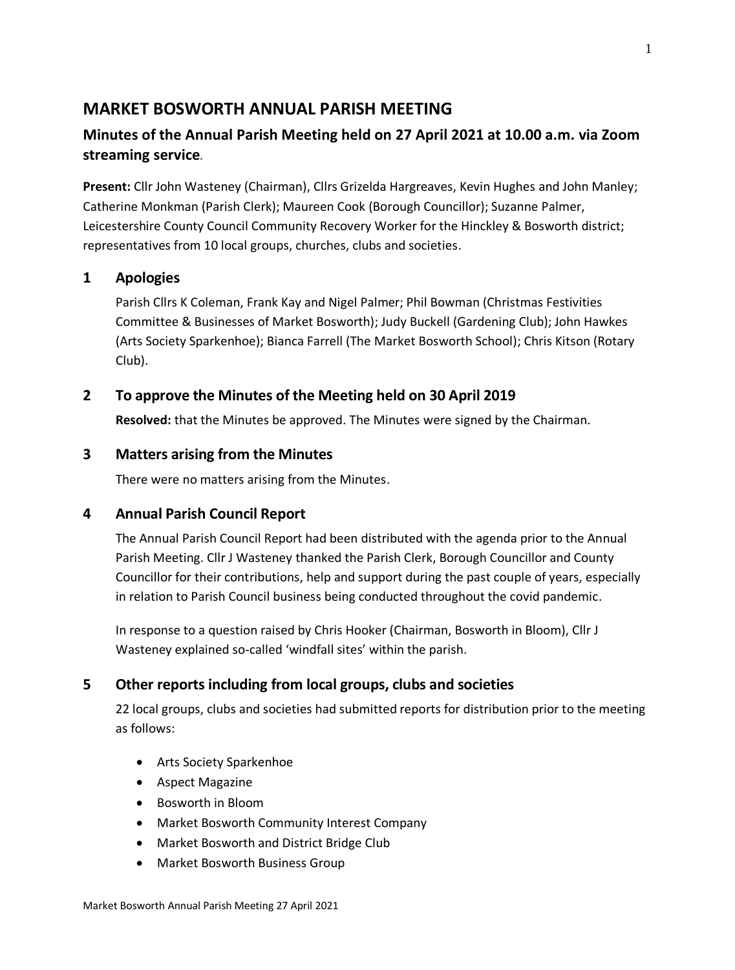## **MARKET BOSWORTH ANNUAL PARISH MEETING**

# **Minutes of the Annual Parish Meeting held on 27 April 2021 at 10.00 a.m. via Zoom streaming service**.

**Present:** Cllr John Wasteney (Chairman), Cllrs Grizelda Hargreaves, Kevin Hughes and John Manley; Catherine Monkman (Parish Clerk); Maureen Cook (Borough Councillor); Suzanne Palmer, Leicestershire County Council Community Recovery Worker for the Hinckley & Bosworth district; representatives from 10 local groups, churches, clubs and societies.

### **1 Apologies**

Parish Cllrs K Coleman, Frank Kay and Nigel Palmer; Phil Bowman (Christmas Festivities Committee & Businesses of Market Bosworth); Judy Buckell (Gardening Club); John Hawkes (Arts Society Sparkenhoe); Bianca Farrell (The Market Bosworth School); Chris Kitson (Rotary Club).

### **2 To approve the Minutes of the Meeting held on 30 April 2019**

**Resolved:** that the Minutes be approved. The Minutes were signed by the Chairman.

### **3 Matters arising from the Minutes**

There were no matters arising from the Minutes.

### **4 Annual Parish Council Report**

The Annual Parish Council Report had been distributed with the agenda prior to the Annual Parish Meeting. Cllr J Wasteney thanked the Parish Clerk, Borough Councillor and County Councillor for their contributions, help and support during the past couple of years, especially in relation to Parish Council business being conducted throughout the covid pandemic.

In response to a question raised by Chris Hooker (Chairman, Bosworth in Bloom), Cllr J Wasteney explained so-called 'windfall sites' within the parish.

### **5 Other reports including from local groups, clubs and societies**

22 local groups, clubs and societies had submitted reports for distribution prior to the meeting as follows:

- Arts Society Sparkenhoe
- Aspect Magazine
- Bosworth in Bloom
- Market Bosworth Community Interest Company
- Market Bosworth and District Bridge Club
- Market Bosworth Business Group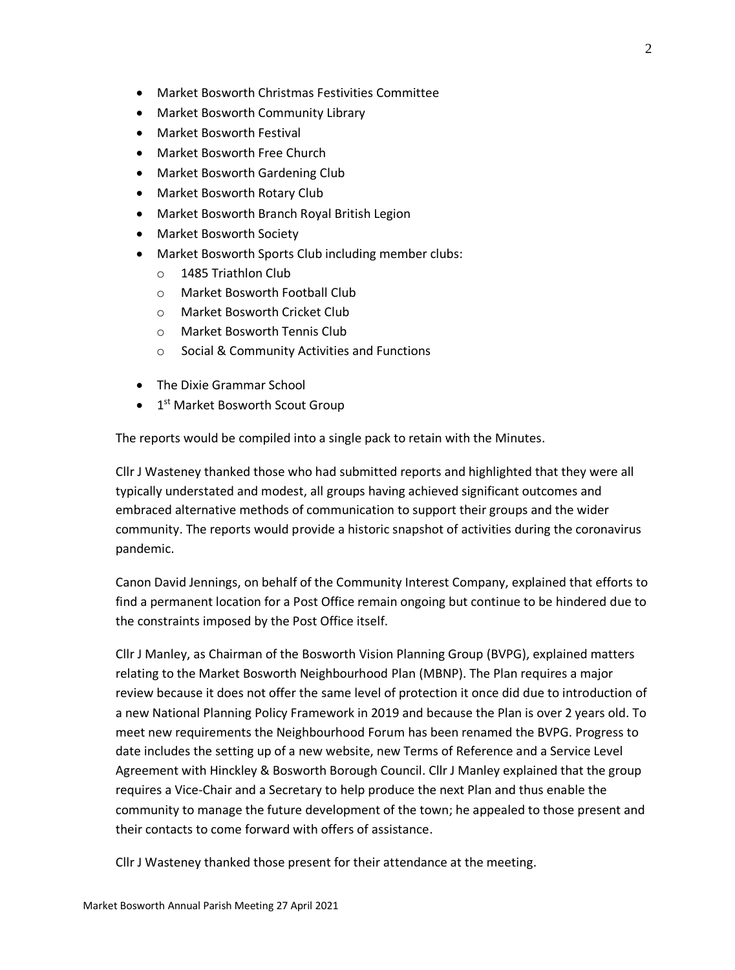- Market Bosworth Christmas Festivities Committee
- Market Bosworth Community Library
- Market Bosworth Festival
- Market Bosworth Free Church
- Market Bosworth Gardening Club
- Market Bosworth Rotary Club
- Market Bosworth Branch Royal British Legion
- Market Bosworth Society
- Market Bosworth Sports Club including member clubs:
	- o 1485 Triathlon Club
	- o Market Bosworth Football Club
	- o Market Bosworth Cricket Club
	- o Market Bosworth Tennis Club
	- o Social & Community Activities and Functions
- The Dixie Grammar School
- 1<sup>st</sup> Market Bosworth Scout Group

The reports would be compiled into a single pack to retain with the Minutes.

Cllr J Wasteney thanked those who had submitted reports and highlighted that they were all typically understated and modest, all groups having achieved significant outcomes and embraced alternative methods of communication to support their groups and the wider community. The reports would provide a historic snapshot of activities during the coronavirus pandemic.

Canon David Jennings, on behalf of the Community Interest Company, explained that efforts to find a permanent location for a Post Office remain ongoing but continue to be hindered due to the constraints imposed by the Post Office itself.

Cllr J Manley, as Chairman of the Bosworth Vision Planning Group (BVPG), explained matters relating to the Market Bosworth Neighbourhood Plan (MBNP). The Plan requires a major review because it does not offer the same level of protection it once did due to introduction of a new National Planning Policy Framework in 2019 and because the Plan is over 2 years old. To meet new requirements the Neighbourhood Forum has been renamed the BVPG. Progress to date includes the setting up of a new website, new Terms of Reference and a Service Level Agreement with Hinckley & Bosworth Borough Council. Cllr J Manley explained that the group requires a Vice-Chair and a Secretary to help produce the next Plan and thus enable the community to manage the future development of the town; he appealed to those present and their contacts to come forward with offers of assistance.

Cllr J Wasteney thanked those present for their attendance at the meeting.